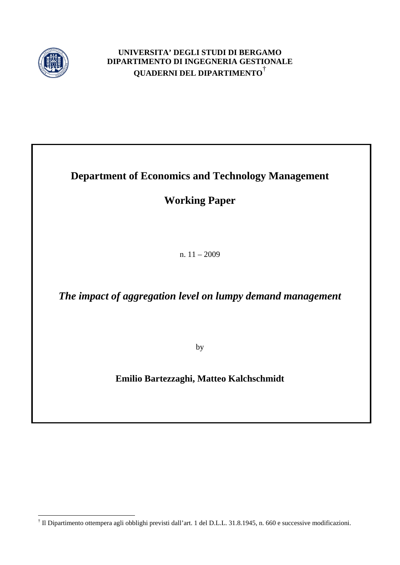

 $\overline{a}$ 

## **UNIVERSITA' DEGLI STUDI DI BERGAMO DIPARTIMENTO DI INGEGNERIA GESTIONALE QUADERNI DEL DIPARTIMENTO**†

# **Department of Economics and Technology Management**

# **Working Paper**

n. 11 – 2009

*The impact of aggregation level on lumpy demand management* 

by

**Emilio Bartezzaghi, Matteo Kalchschmidt** 

<sup>†</sup> Il Dipartimento ottempera agli obblighi previsti dall'art. 1 del D.L.L. 31.8.1945, n. 660 e successive modificazioni.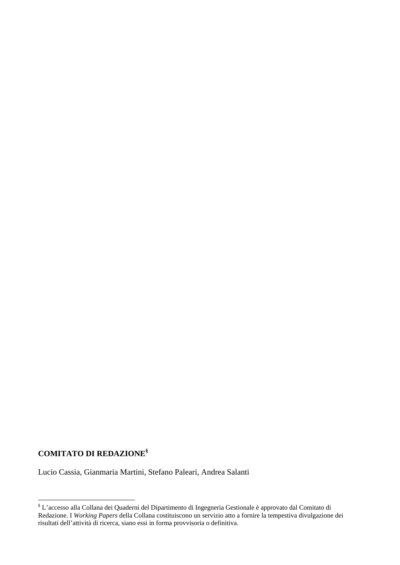## **COMITATO DI REDAZIONE§**

Lucio Cassia, Gianmaria Martini, Stefano Paleari, Andrea Salanti

 § L'accesso alla Collana dei Quaderni del Dipartimento di Ingegneria Gestionale è approvato dal Comitato di Redazione. I *Working Papers* della Collana costituiscono un servizio atto a fornire la tempestiva divulgazione dei risultati dell'attività di ricerca, siano essi in forma provvisoria o definitiva.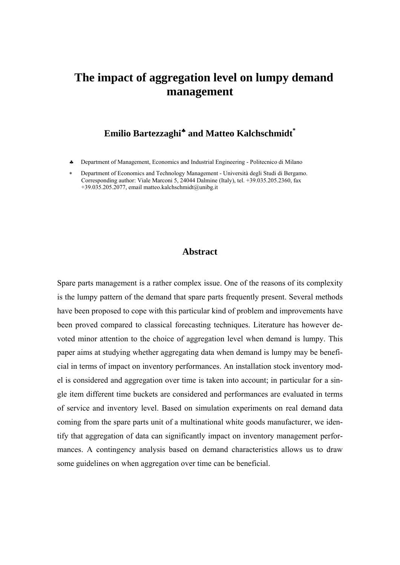## **The impact of aggregation level on lumpy demand management**

## **Emilio Bartezzaghi**♣ **and Matteo Kalchschmidt\***

♣ Department of Management, Economics and Industrial Engineering - Politecnico di Milano

#### **Abstract**

Spare parts management is a rather complex issue. One of the reasons of its complexity is the lumpy pattern of the demand that spare parts frequently present. Several methods have been proposed to cope with this particular kind of problem and improvements have been proved compared to classical forecasting techniques. Literature has however devoted minor attention to the choice of aggregation level when demand is lumpy. This paper aims at studying whether aggregating data when demand is lumpy may be beneficial in terms of impact on inventory performances. An installation stock inventory model is considered and aggregation over time is taken into account; in particular for a single item different time buckets are considered and performances are evaluated in terms of service and inventory level. Based on simulation experiments on real demand data coming from the spare parts unit of a multinational white goods manufacturer, we identify that aggregation of data can significantly impact on inventory management performances. A contingency analysis based on demand characteristics allows us to draw some guidelines on when aggregation over time can be beneficial.

<sup>∗</sup> Department of Economics and Technology Management - Università degli Studi di Bergamo. Corresponding author: Viale Marconi 5, 24044 Dalmine (Italy), tel. +39.035.205.2360, fax +39.035.205.2077, email matteo.kalchschmidt@unibg.it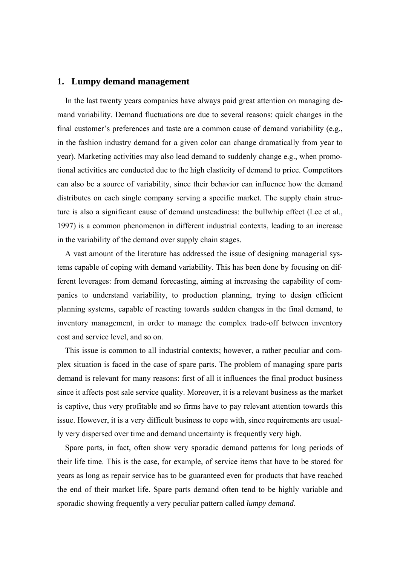#### **1. Lumpy demand management**

In the last twenty years companies have always paid great attention on managing demand variability. Demand fluctuations are due to several reasons: quick changes in the final customer's preferences and taste are a common cause of demand variability (e.g., in the fashion industry demand for a given color can change dramatically from year to year). Marketing activities may also lead demand to suddenly change e.g., when promotional activities are conducted due to the high elasticity of demand to price. Competitors can also be a source of variability, since their behavior can influence how the demand distributes on each single company serving a specific market. The supply chain structure is also a significant cause of demand unsteadiness: the bullwhip effect (Lee et al., 1997) is a common phenomenon in different industrial contexts, leading to an increase in the variability of the demand over supply chain stages.

A vast amount of the literature has addressed the issue of designing managerial systems capable of coping with demand variability. This has been done by focusing on different leverages: from demand forecasting, aiming at increasing the capability of companies to understand variability, to production planning, trying to design efficient planning systems, capable of reacting towards sudden changes in the final demand, to inventory management, in order to manage the complex trade-off between inventory cost and service level, and so on.

This issue is common to all industrial contexts; however, a rather peculiar and complex situation is faced in the case of spare parts. The problem of managing spare parts demand is relevant for many reasons: first of all it influences the final product business since it affects post sale service quality. Moreover, it is a relevant business as the market is captive, thus very profitable and so firms have to pay relevant attention towards this issue. However, it is a very difficult business to cope with, since requirements are usually very dispersed over time and demand uncertainty is frequently very high.

Spare parts, in fact, often show very sporadic demand patterns for long periods of their life time. This is the case, for example, of service items that have to be stored for years as long as repair service has to be guaranteed even for products that have reached the end of their market life. Spare parts demand often tend to be highly variable and sporadic showing frequently a very peculiar pattern called *lumpy demand*.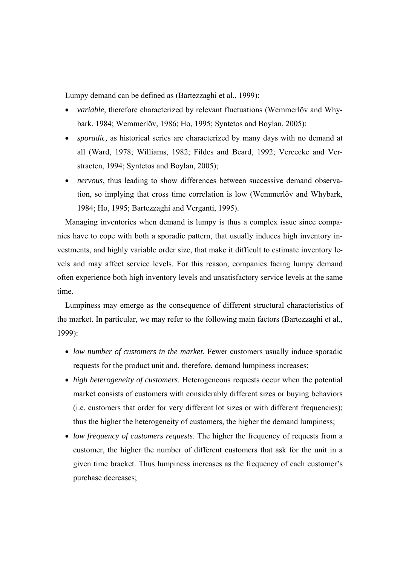Lumpy demand can be defined as (Bartezzaghi et al., 1999):

- *variable*, therefore characterized by relevant fluctuations (Wemmerlöv and Whybark, 1984; Wemmerlöv, 1986; Ho, 1995; Syntetos and Boylan, 2005);
- *sporadic*, as historical series are characterized by many days with no demand at all (Ward, 1978; Williams, 1982; Fildes and Beard, 1992; Vereecke and Verstraeten, 1994; Syntetos and Boylan, 2005);
- *nervous*, thus leading to show differences between successive demand observation, so implying that cross time correlation is low (Wemmerlöv and Whybark, 1984; Ho, 1995; Bartezzaghi and Verganti, 1995).

Managing inventories when demand is lumpy is thus a complex issue since companies have to cope with both a sporadic pattern, that usually induces high inventory investments, and highly variable order size, that make it difficult to estimate inventory levels and may affect service levels. For this reason, companies facing lumpy demand often experience both high inventory levels and unsatisfactory service levels at the same time.

Lumpiness may emerge as the consequence of different structural characteristics of the market. In particular, we may refer to the following main factors (Bartezzaghi et al., 1999):

- *low number of customers in the market*. Fewer customers usually induce sporadic requests for the product unit and, therefore, demand lumpiness increases;
- *high heterogeneity of customers*. Heterogeneous requests occur when the potential market consists of customers with considerably different sizes or buying behaviors (i.e. customers that order for very different lot sizes or with different frequencies); thus the higher the heterogeneity of customers, the higher the demand lumpiness;
- *low frequency of customers requests*. The higher the frequency of requests from a customer, the higher the number of different customers that ask for the unit in a given time bracket. Thus lumpiness increases as the frequency of each customer's purchase decreases;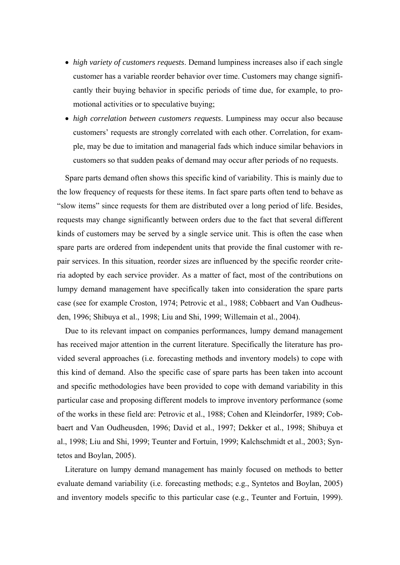- *high variety of customers requests*. Demand lumpiness increases also if each single customer has a variable reorder behavior over time. Customers may change significantly their buying behavior in specific periods of time due, for example, to promotional activities or to speculative buying;
- *high correlation between customers requests*. Lumpiness may occur also because customers' requests are strongly correlated with each other. Correlation, for example, may be due to imitation and managerial fads which induce similar behaviors in customers so that sudden peaks of demand may occur after periods of no requests.

Spare parts demand often shows this specific kind of variability. This is mainly due to the low frequency of requests for these items. In fact spare parts often tend to behave as "slow items" since requests for them are distributed over a long period of life. Besides, requests may change significantly between orders due to the fact that several different kinds of customers may be served by a single service unit. This is often the case when spare parts are ordered from independent units that provide the final customer with repair services. In this situation, reorder sizes are influenced by the specific reorder criteria adopted by each service provider. As a matter of fact, most of the contributions on lumpy demand management have specifically taken into consideration the spare parts case (see for example Croston, 1974; Petrovic et al., 1988; Cobbaert and Van Oudheusden, 1996; Shibuya et al., 1998; Liu and Shi, 1999; Willemain et al., 2004).

Due to its relevant impact on companies performances, lumpy demand management has received major attention in the current literature. Specifically the literature has provided several approaches (i.e. forecasting methods and inventory models) to cope with this kind of demand. Also the specific case of spare parts has been taken into account and specific methodologies have been provided to cope with demand variability in this particular case and proposing different models to improve inventory performance (some of the works in these field are: Petrovic et al., 1988; Cohen and Kleindorfer, 1989; Cobbaert and Van Oudheusden, 1996; David et al., 1997; Dekker et al., 1998; Shibuya et al., 1998; Liu and Shi, 1999; Teunter and Fortuin, 1999; Kalchschmidt et al., 2003; Syntetos and Boylan, 2005).

Literature on lumpy demand management has mainly focused on methods to better evaluate demand variability (i.e. forecasting methods; e.g., Syntetos and Boylan, 2005) and inventory models specific to this particular case (e.g., Teunter and Fortuin, 1999).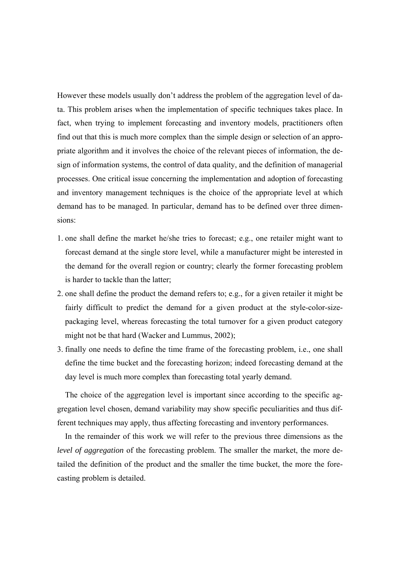However these models usually don't address the problem of the aggregation level of data. This problem arises when the implementation of specific techniques takes place. In fact, when trying to implement forecasting and inventory models, practitioners often find out that this is much more complex than the simple design or selection of an appropriate algorithm and it involves the choice of the relevant pieces of information, the design of information systems, the control of data quality, and the definition of managerial processes. One critical issue concerning the implementation and adoption of forecasting and inventory management techniques is the choice of the appropriate level at which demand has to be managed. In particular, demand has to be defined over three dimensions:

- 1. one shall define the market he/she tries to forecast; e.g., one retailer might want to forecast demand at the single store level, while a manufacturer might be interested in the demand for the overall region or country; clearly the former forecasting problem is harder to tackle than the latter;
- 2. one shall define the product the demand refers to; e.g., for a given retailer it might be fairly difficult to predict the demand for a given product at the style-color-sizepackaging level, whereas forecasting the total turnover for a given product category might not be that hard (Wacker and Lummus, 2002);
- 3. finally one needs to define the time frame of the forecasting problem, i.e., one shall define the time bucket and the forecasting horizon; indeed forecasting demand at the day level is much more complex than forecasting total yearly demand.

The choice of the aggregation level is important since according to the specific aggregation level chosen, demand variability may show specific peculiarities and thus different techniques may apply, thus affecting forecasting and inventory performances.

In the remainder of this work we will refer to the previous three dimensions as the *level of aggregation* of the forecasting problem. The smaller the market, the more detailed the definition of the product and the smaller the time bucket, the more the forecasting problem is detailed.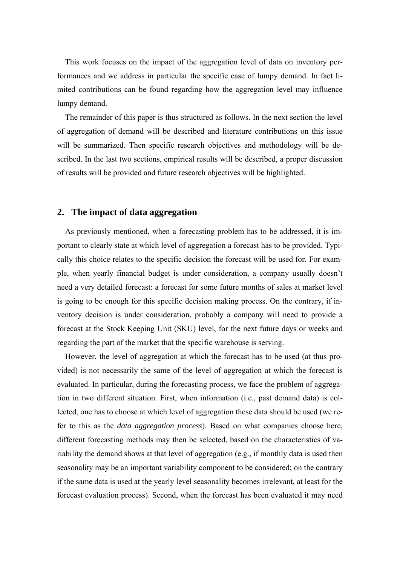This work focuses on the impact of the aggregation level of data on inventory performances and we address in particular the specific case of lumpy demand. In fact limited contributions can be found regarding how the aggregation level may influence lumpy demand.

The remainder of this paper is thus structured as follows. In the next section the level of aggregation of demand will be described and literature contributions on this issue will be summarized. Then specific research objectives and methodology will be described. In the last two sections, empirical results will be described, a proper discussion of results will be provided and future research objectives will be highlighted.

#### **2. The impact of data aggregation**

As previously mentioned, when a forecasting problem has to be addressed, it is important to clearly state at which level of aggregation a forecast has to be provided. Typically this choice relates to the specific decision the forecast will be used for. For example, when yearly financial budget is under consideration, a company usually doesn't need a very detailed forecast: a forecast for some future months of sales at market level is going to be enough for this specific decision making process. On the contrary, if inventory decision is under consideration, probably a company will need to provide a forecast at the Stock Keeping Unit (SKU) level, for the next future days or weeks and regarding the part of the market that the specific warehouse is serving.

However, the level of aggregation at which the forecast has to be used (at thus provided) is not necessarily the same of the level of aggregation at which the forecast is evaluated. In particular, during the forecasting process, we face the problem of aggregation in two different situation. First, when information (i.e., past demand data) is collected, one has to choose at which level of aggregation these data should be used (we refer to this as the *data aggregation process*). Based on what companies choose here, different forecasting methods may then be selected, based on the characteristics of variability the demand shows at that level of aggregation (e.g., if monthly data is used then seasonality may be an important variability component to be considered; on the contrary if the same data is used at the yearly level seasonality becomes irrelevant, at least for the forecast evaluation process). Second, when the forecast has been evaluated it may need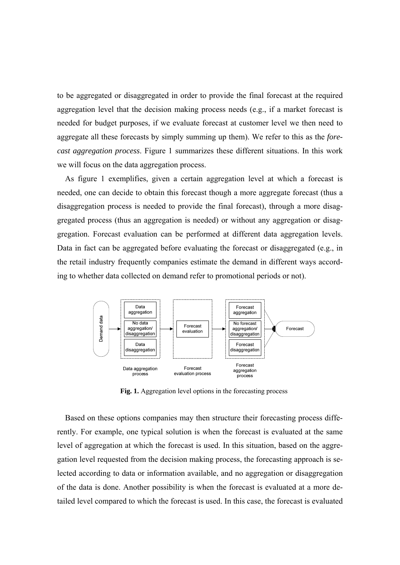to be aggregated or disaggregated in order to provide the final forecast at the required aggregation level that the decision making process needs (e.g., if a market forecast is needed for budget purposes, if we evaluate forecast at customer level we then need to aggregate all these forecasts by simply summing up them). We refer to this as the *forecast aggregation process*. Figure 1 summarizes these different situations. In this work we will focus on the data aggregation process.

As figure 1 exemplifies, given a certain aggregation level at which a forecast is needed, one can decide to obtain this forecast though a more aggregate forecast (thus a disaggregation process is needed to provide the final forecast), through a more disaggregated process (thus an aggregation is needed) or without any aggregation or disaggregation. Forecast evaluation can be performed at different data aggregation levels. Data in fact can be aggregated before evaluating the forecast or disaggregated (e.g., in the retail industry frequently companies estimate the demand in different ways according to whether data collected on demand refer to promotional periods or not).



**Fig. 1.** Aggregation level options in the forecasting process

Based on these options companies may then structure their forecasting process differently. For example, one typical solution is when the forecast is evaluated at the same level of aggregation at which the forecast is used. In this situation, based on the aggregation level requested from the decision making process, the forecasting approach is selected according to data or information available, and no aggregation or disaggregation of the data is done. Another possibility is when the forecast is evaluated at a more detailed level compared to which the forecast is used. In this case, the forecast is evaluated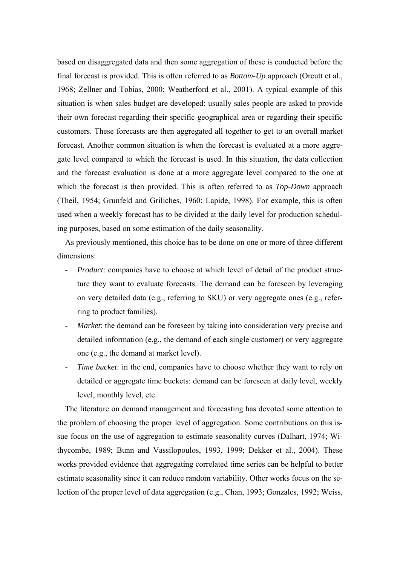based on disaggregated data and then some aggregation of these is conducted before the final forecast is provided. This is often referred to as *Bottom-Up* approach (Orcutt et al., 1968; Zellner and Tobias, 2000; Weatherford et al., 2001). A typical example of this situation is when sales budget are developed: usually sales people are asked to provide their own forecast regarding their specific geographical area or regarding their specific customers. These forecasts are then aggregated all together to get to an overall market forecast. Another common situation is when the forecast is evaluated at a more aggregate level compared to which the forecast is used. In this situation, the data collection and the forecast evaluation is done at a more aggregate level compared to the one at which the forecast is then provided. This is often referred to as *Top-Down* approach (Theil, 1954; Grunfeld and Griliches, 1960; Lapide, 1998). For example, this is often used when a weekly forecast has to be divided at the daily level for production scheduling purposes, based on some estimation of the daily seasonality.

As previously mentioned, this choice has to be done on one or more of three different dimensions:

- *Product*: companies have to choose at which level of detail of the product structure they want to evaluate forecasts. The demand can be foreseen by leveraging on very detailed data (e.g., referring to SKU) or very aggregate ones (e.g., referring to product families).
- *Market*: the demand can be foreseen by taking into consideration very precise and detailed information (e.g., the demand of each single customer) or very aggregate one (e.g., the demand at market level).
- *Time bucket*: in the end, companies have to choose whether they want to rely on detailed or aggregate time buckets: demand can be foreseen at daily level, weekly level, monthly level, etc.

The literature on demand management and forecasting has devoted some attention to the problem of choosing the proper level of aggregation. Some contributions on this issue focus on the use of aggregation to estimate seasonality curves (Dalhart, 1974; Withycombe, 1989; Bunn and Vassilopoulos, 1993, 1999; Dekker et al., 2004). These works provided evidence that aggregating correlated time series can be helpful to better estimate seasonality since it can reduce random variability. Other works focus on the selection of the proper level of data aggregation (e.g., Chan, 1993; Gonzales, 1992; Weiss,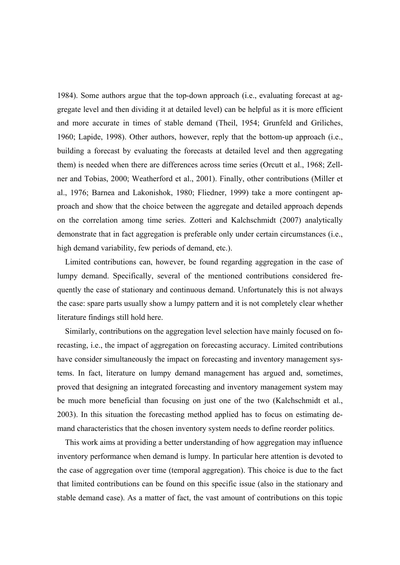1984). Some authors argue that the top-down approach (i.e., evaluating forecast at aggregate level and then dividing it at detailed level) can be helpful as it is more efficient and more accurate in times of stable demand (Theil, 1954; Grunfeld and Griliches, 1960; Lapide, 1998). Other authors, however, reply that the bottom-up approach (i.e., building a forecast by evaluating the forecasts at detailed level and then aggregating them) is needed when there are differences across time series (Orcutt et al., 1968; Zellner and Tobias, 2000; Weatherford et al., 2001). Finally, other contributions (Miller et al., 1976; Barnea and Lakonishok, 1980; Fliedner, 1999) take a more contingent approach and show that the choice between the aggregate and detailed approach depends on the correlation among time series. Zotteri and Kalchschmidt (2007) analytically demonstrate that in fact aggregation is preferable only under certain circumstances (i.e., high demand variability, few periods of demand, etc.).

Limited contributions can, however, be found regarding aggregation in the case of lumpy demand. Specifically, several of the mentioned contributions considered frequently the case of stationary and continuous demand. Unfortunately this is not always the case: spare parts usually show a lumpy pattern and it is not completely clear whether literature findings still hold here.

Similarly, contributions on the aggregation level selection have mainly focused on forecasting, i.e., the impact of aggregation on forecasting accuracy. Limited contributions have consider simultaneously the impact on forecasting and inventory management systems. In fact, literature on lumpy demand management has argued and, sometimes, proved that designing an integrated forecasting and inventory management system may be much more beneficial than focusing on just one of the two (Kalchschmidt et al., 2003). In this situation the forecasting method applied has to focus on estimating demand characteristics that the chosen inventory system needs to define reorder politics.

This work aims at providing a better understanding of how aggregation may influence inventory performance when demand is lumpy. In particular here attention is devoted to the case of aggregation over time (temporal aggregation). This choice is due to the fact that limited contributions can be found on this specific issue (also in the stationary and stable demand case). As a matter of fact, the vast amount of contributions on this topic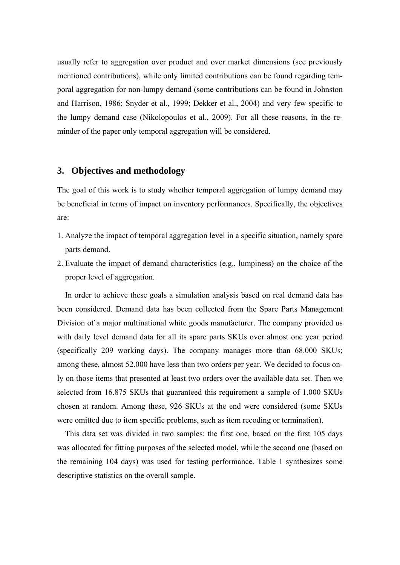usually refer to aggregation over product and over market dimensions (see previously mentioned contributions), while only limited contributions can be found regarding temporal aggregation for non-lumpy demand (some contributions can be found in Johnston and Harrison, 1986; Snyder et al., 1999; Dekker et al., 2004) and very few specific to the lumpy demand case (Nikolopoulos et al., 2009). For all these reasons, in the reminder of the paper only temporal aggregation will be considered.

#### **3. Objectives and methodology**

The goal of this work is to study whether temporal aggregation of lumpy demand may be beneficial in terms of impact on inventory performances. Specifically, the objectives are:

- 1. Analyze the impact of temporal aggregation level in a specific situation, namely spare parts demand.
- 2. Evaluate the impact of demand characteristics (e.g., lumpiness) on the choice of the proper level of aggregation.

In order to achieve these goals a simulation analysis based on real demand data has been considered. Demand data has been collected from the Spare Parts Management Division of a major multinational white goods manufacturer. The company provided us with daily level demand data for all its spare parts SKUs over almost one year period (specifically 209 working days). The company manages more than 68.000 SKUs; among these, almost 52.000 have less than two orders per year. We decided to focus only on those items that presented at least two orders over the available data set. Then we selected from 16.875 SKUs that guaranteed this requirement a sample of 1.000 SKUs chosen at random. Among these, 926 SKUs at the end were considered (some SKUs were omitted due to item specific problems, such as item recoding or termination).

This data set was divided in two samples: the first one, based on the first 105 days was allocated for fitting purposes of the selected model, while the second one (based on the remaining 104 days) was used for testing performance. Table 1 synthesizes some descriptive statistics on the overall sample.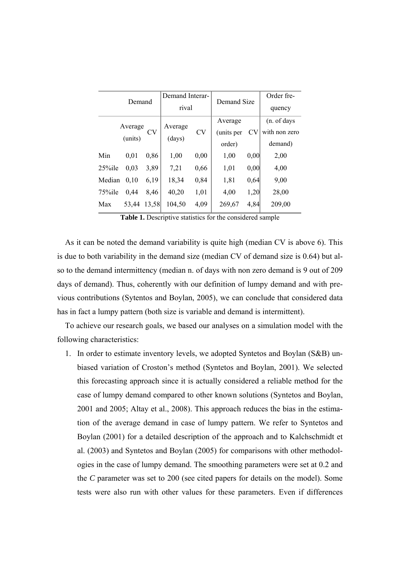|            | Demand                   |       | Demand Interar-   |       | Demand Size |           | Order fre-    |
|------------|--------------------------|-------|-------------------|-------|-------------|-----------|---------------|
|            |                          |       |                   | rival |             |           | quency        |
|            | Average<br>CV<br>(units) |       | Average<br>(days) | CV    | Average     |           | (n. of days   |
|            |                          |       |                   |       | (units per  | <b>CV</b> | with non zero |
|            |                          |       |                   |       | order)      |           | demand)       |
| Min        | 0,01                     | 0,86  | 1,00              | 0,00  | 1,00        | 0,00      | 2,00          |
| $25\%$ ile | 0,03                     | 3,89  | 7,21              | 0,66  | 1,01        | 0,00      | 4,00          |
| Median     | 0,10                     | 6,19  | 18,34             | 0,84  | 1,81        | 0,64      | 9,00          |
| $75\%$ ile | 0,44                     | 8,46  | 40,20             | 1,01  | 4,00        | 1,20      | 28,00         |
| Max        | 53,44                    | 13,58 | 104,50            | 4,09  | 269,67      | 4,84      | 209,00        |

**Table 1.** Descriptive statistics for the considered sample

As it can be noted the demand variability is quite high (median CV is above 6). This is due to both variability in the demand size (median CV of demand size is 0.64) but also to the demand intermittency (median n. of days with non zero demand is 9 out of 209 days of demand). Thus, coherently with our definition of lumpy demand and with previous contributions (Sytentos and Boylan, 2005), we can conclude that considered data has in fact a lumpy pattern (both size is variable and demand is intermittent).

To achieve our research goals, we based our analyses on a simulation model with the following characteristics:

1. In order to estimate inventory levels, we adopted Syntetos and Boylan (S&B) unbiased variation of Croston's method (Syntetos and Boylan, 2001). We selected this forecasting approach since it is actually considered a reliable method for the case of lumpy demand compared to other known solutions (Syntetos and Boylan, 2001 and 2005; Altay et al., 2008). This approach reduces the bias in the estimation of the average demand in case of lumpy pattern. We refer to Syntetos and Boylan (2001) for a detailed description of the approach and to Kalchschmidt et al. (2003) and Syntetos and Boylan (2005) for comparisons with other methodologies in the case of lumpy demand. The smoothing parameters were set at 0.2 and the *C* parameter was set to 200 (see cited papers for details on the model). Some tests were also run with other values for these parameters. Even if differences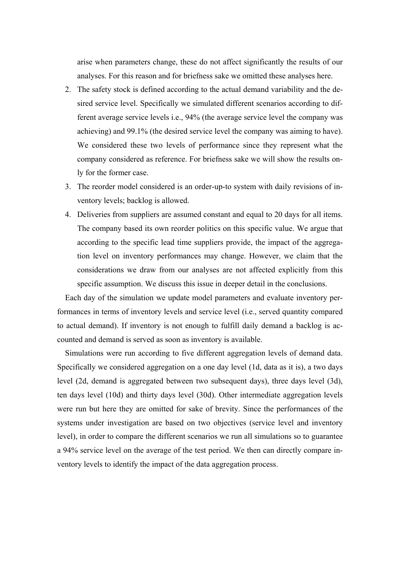arise when parameters change, these do not affect significantly the results of our analyses. For this reason and for briefness sake we omitted these analyses here.

- 2. The safety stock is defined according to the actual demand variability and the desired service level. Specifically we simulated different scenarios according to different average service levels i.e., 94% (the average service level the company was achieving) and 99.1% (the desired service level the company was aiming to have). We considered these two levels of performance since they represent what the company considered as reference. For briefness sake we will show the results only for the former case.
- 3. The reorder model considered is an order-up-to system with daily revisions of inventory levels; backlog is allowed.
- 4. Deliveries from suppliers are assumed constant and equal to 20 days for all items. The company based its own reorder politics on this specific value. We argue that according to the specific lead time suppliers provide, the impact of the aggregation level on inventory performances may change. However, we claim that the considerations we draw from our analyses are not affected explicitly from this specific assumption. We discuss this issue in deeper detail in the conclusions.

Each day of the simulation we update model parameters and evaluate inventory performances in terms of inventory levels and service level (i.e., served quantity compared to actual demand). If inventory is not enough to fulfill daily demand a backlog is accounted and demand is served as soon as inventory is available.

Simulations were run according to five different aggregation levels of demand data. Specifically we considered aggregation on a one day level (1d, data as it is), a two days level (2d, demand is aggregated between two subsequent days), three days level (3d), ten days level (10d) and thirty days level (30d). Other intermediate aggregation levels were run but here they are omitted for sake of brevity. Since the performances of the systems under investigation are based on two objectives (service level and inventory level), in order to compare the different scenarios we run all simulations so to guarantee a 94% service level on the average of the test period. We then can directly compare inventory levels to identify the impact of the data aggregation process.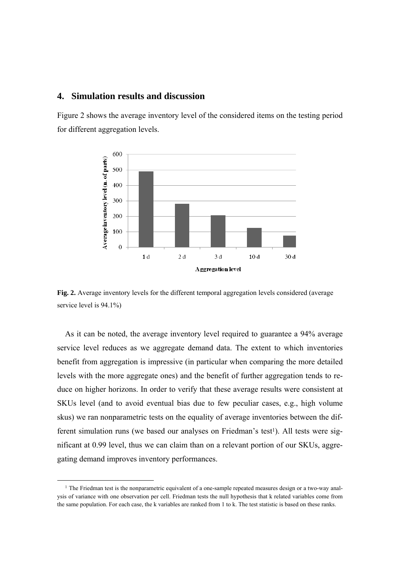#### **4. Simulation results and discussion**

Figure 2 shows the average inventory level of the considered items on the testing period for different aggregation levels.



**Fig. 2.** Average inventory levels for the different temporal aggregation levels considered (average service level is 94.1%)

As it can be noted, the average inventory level required to guarantee a 94% average service level reduces as we aggregate demand data. The extent to which inventories benefit from aggregation is impressive (in particular when comparing the more detailed levels with the more aggregate ones) and the benefit of further aggregation tends to reduce on higher horizons. In order to verify that these average results were consistent at SKUs level (and to avoid eventual bias due to few peculiar cases, e.g., high volume skus) we ran nonparametric tests on the equality of average inventories between the different simulation runs (we based our analyses on Friedman's test<sup>1</sup>). All tests were significant at 0.99 level, thus we can claim than on a relevant portion of our SKUs, aggregating demand improves inventory performances.

<sup>&</sup>lt;sup>1</sup> The Friedman test is the nonparametric equivalent of a one-sample repeated measures design or a two-way analysis of variance with one observation per cell. Friedman tests the null hypothesis that k related variables come from the same population. For each case, the k variables are ranked from 1 to k. The test statistic is based on these ranks.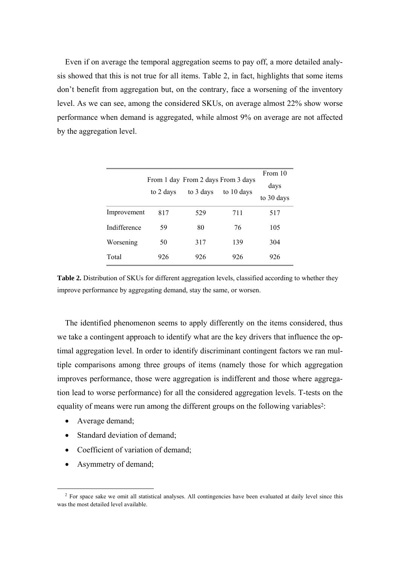Even if on average the temporal aggregation seems to pay off, a more detailed analysis showed that this is not true for all items. Table 2, in fact, highlights that some items don't benefit from aggregation but, on the contrary, face a worsening of the inventory level. As we can see, among the considered SKUs, on average almost 22% show worse performance when demand is aggregated, while almost 9% on average are not affected by the aggregation level.

|              | From 1 day From 2 days From 3 days<br>to 2 days<br>to 3 days<br>to 10 days |     |     | From 10<br>days<br>to 30 days |
|--------------|----------------------------------------------------------------------------|-----|-----|-------------------------------|
| Improvement  | 817                                                                        | 529 | 711 | 517                           |
| Indifference | 59                                                                         | 80  | 76  | 105                           |
| Worsening    | 50                                                                         | 317 | 139 | 304                           |
| Total        | 926                                                                        | 926 | 926 | 926                           |

**Table 2.** Distribution of SKUs for different aggregation levels, classified according to whether they improve performance by aggregating demand, stay the same, or worsen.

The identified phenomenon seems to apply differently on the items considered, thus we take a contingent approach to identify what are the key drivers that influence the optimal aggregation level. In order to identify discriminant contingent factors we ran multiple comparisons among three groups of items (namely those for which aggregation improves performance, those were aggregation is indifferent and those where aggregation lead to worse performance) for all the considered aggregation levels. T-tests on the equality of means were run among the different groups on the following variables<sup>2</sup>:

- Average demand;
- Standard deviation of demand:
- Coefficient of variation of demand;
- Asymmetry of demand;

<sup>&</sup>lt;sup>2</sup> For space sake we omit all statistical analyses. All contingencies have been evaluated at daily level since this was the most detailed level available.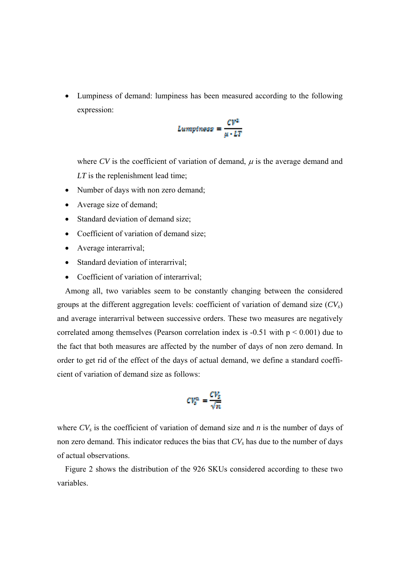• Lumpiness of demand: lumpiness has been measured according to the following expression:

$$
Lumpiness = \frac{CV^2}{\mu \cdot LT}
$$

where  $CV$  is the coefficient of variation of demand,  $\mu$  is the average demand and *LT* is the replenishment lead time;

- Number of days with non zero demand;
- Average size of demand;
- Standard deviation of demand size;
- Coefficient of variation of demand size:
- Average interarrival;
- Standard deviation of interarrival:
- Coefficient of variation of interarrival;

Among all, two variables seem to be constantly changing between the considered groups at the different aggregation levels: coefficient of variation of demand size (*CVs*) and average interarrival between successive orders. These two measures are negatively correlated among themselves (Pearson correlation index is -0.51 with p < 0.001) due to the fact that both measures are affected by the number of days of non zero demand. In order to get rid of the effect of the days of actual demand, we define a standard coefficient of variation of demand size as follows:

$$
CV_n^n = \frac{CV_s}{\sqrt{n}}
$$

where  $CV<sub>s</sub>$  is the coefficient of variation of demand size and *n* is the number of days of non zero demand. This indicator reduces the bias that  $CV<sub>s</sub>$  has due to the number of days of actual observations.

Figure 2 shows the distribution of the 926 SKUs considered according to these two variables.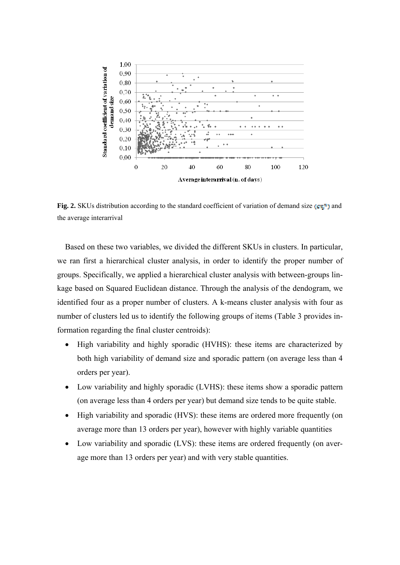

**Fig. 2.** SKUs distribution according to the standard coefficient of variation of demand size  $(\mathbf{C}\mathbf{E}^n)$  and the average interarrival

Based on these two variables, we divided the different SKUs in clusters. In particular, we ran first a hierarchical cluster analysis, in order to identify the proper number of groups. Specifically, we applied a hierarchical cluster analysis with between-groups linkage based on Squared Euclidean distance. Through the analysis of the dendogram, we identified four as a proper number of clusters. A k-means cluster analysis with four as number of clusters led us to identify the following groups of items (Table 3 provides information regarding the final cluster centroids):

- High variability and highly sporadic (HVHS): these items are characterized by both high variability of demand size and sporadic pattern (on average less than 4 orders per year).
- Low variability and highly sporadic (LVHS): these items show a sporadic pattern (on average less than 4 orders per year) but demand size tends to be quite stable.
- High variability and sporadic (HVS): these items are ordered more frequently (on average more than 13 orders per year), however with highly variable quantities
- Low variability and sporadic (LVS): these items are ordered frequently (on average more than 13 orders per year) and with very stable quantities.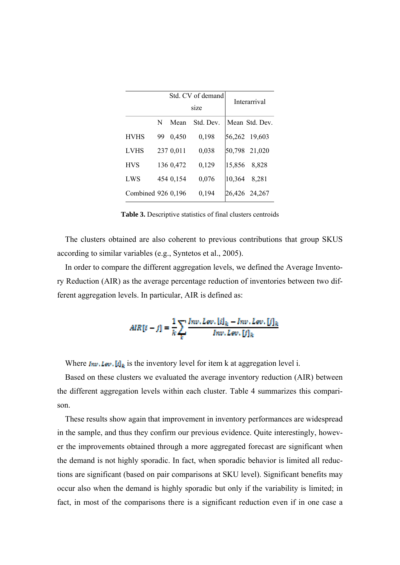|                    | Std. CV of demand<br>size |           |           | Interarrival |                |  |
|--------------------|---------------------------|-----------|-----------|--------------|----------------|--|
|                    | N                         | Mean      | Std. Dev. |              | Mean Std. Dev. |  |
| <b>HVHS</b>        | 99                        | 0,450     | 0,198     |              | 56,262 19,603  |  |
| LVHS               |                           | 237 0,011 | 0,038     |              | 50,798 21,020  |  |
| <b>HVS</b>         |                           | 136 0,472 | 0,129     |              | 15,856 8,828   |  |
| LWS                |                           | 454 0,154 | 0,076     | 10,364       | 8,281          |  |
| Combined 926 0,196 |                           |           | 0,194     |              | 26,426 24,267  |  |

**Table 3.** Descriptive statistics of final clusters centroids

The clusters obtained are also coherent to previous contributions that group SKUS according to similar variables (e.g., Syntetos et al., 2005).

In order to compare the different aggregation levels, we defined the Average Inventory Reduction (AIR) as the average percentage reduction of inventories between two different aggregation levels. In particular, AIR is defined as:

$$
AIR[t - f] = \frac{1}{k} \sum_{k} \frac{Inv, Lev, [i]_k - Inv, Lev, [j]_k}{Inv, Lev, [f]_k}
$$

Where  $I_{\text{NN}}$ ,  $I_{\text{UV}}$ ,  $[t]$ , is the inventory level for item k at aggregation level i.

Based on these clusters we evaluated the average inventory reduction (AIR) between the different aggregation levels within each cluster. Table 4 summarizes this comparison.

These results show again that improvement in inventory performances are widespread in the sample, and thus they confirm our previous evidence. Quite interestingly, however the improvements obtained through a more aggregated forecast are significant when the demand is not highly sporadic. In fact, when sporadic behavior is limited all reductions are significant (based on pair comparisons at SKU level). Significant benefits may occur also when the demand is highly sporadic but only if the variability is limited; in fact, in most of the comparisons there is a significant reduction even if in one case a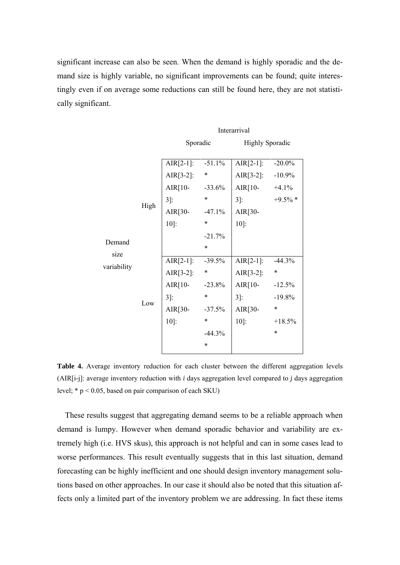significant increase can also be seen. When the demand is highly sporadic and the demand size is highly variable, no significant improvements can be found; quite interestingly even if on average some reductions can still be found here, they are not statistically significant.

|             |      |                  | Interarrival |                        |            |  |
|-------------|------|------------------|--------------|------------------------|------------|--|
|             |      | Sporadic         |              | <b>Highly Sporadic</b> |            |  |
|             | High | AIR[2-1]: -51.1% |              | $AIR[2-1]$ :           | $-20.0\%$  |  |
|             |      | $AIR[3-2]$ :     | $\ast$       | $AIR[3-2]$ :           | $-10.9%$   |  |
|             |      | AIR[10-          | $-33.6%$     | AIR[10-                | $+4.1%$    |  |
|             |      | $3$ :            | $\ast$       | $3$ :                  | $+9.5\%$ * |  |
|             |      | AIR[30-          | $-47.1%$     | AIR[30-                |            |  |
|             |      | $10$ ]:          | $\ast$       | $10$ :                 |            |  |
|             |      |                  | $-21.7%$     |                        |            |  |
| Demand      |      |                  | *            |                        |            |  |
| size        | Low  | AIR[ $2-1$ ]:    | $-39.5%$     | $AIR[2-1]$ :           | $-44.3%$   |  |
| variability |      | $AlR[3-2]$ :     | $\ast$       | $AlR[3-2]$ :           | $\ast$     |  |
|             |      | AIR[10-          | $-23.8%$     | AIR $[10-$             | $-12.5%$   |  |
|             |      | $3$ :            | *            | $3$ :                  | $-19.8%$   |  |
|             |      | AIR[30-          | $-37.5%$     | AIR[30-                | $\ast$     |  |
|             |      | $10$ :           | $\ast$       | $10$ :                 | $+18.5%$   |  |
|             |      |                  | $-44.3%$     |                        | *          |  |
|             |      |                  | *            |                        |            |  |
|             |      |                  |              |                        |            |  |

Table 4. Average inventory reduction for each cluster between the different aggregation levels (AIR[i-j]: average inventory reduction with *i* days aggregation level compared to *j* days aggregation level;  $* p < 0.05$ , based on pair comparison of each SKU)

These results suggest that aggregating demand seems to be a reliable approach when demand is lumpy. However when demand sporadic behavior and variability are extremely high (i.e. HVS skus), this approach is not helpful and can in some cases lead to worse performances. This result eventually suggests that in this last situation, demand forecasting can be highly inefficient and one should design inventory management solutions based on other approaches. In our case it should also be noted that this situation affects only a limited part of the inventory problem we are addressing. In fact these items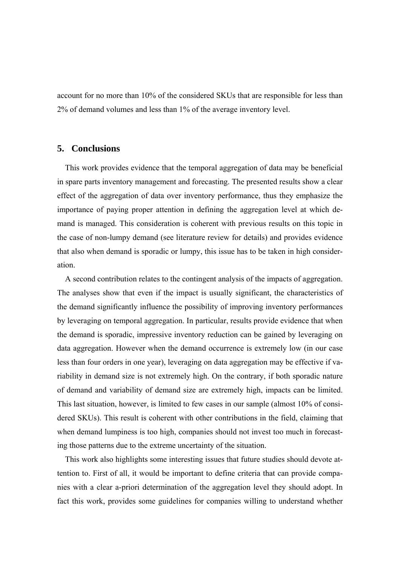account for no more than 10% of the considered SKUs that are responsible for less than 2% of demand volumes and less than 1% of the average inventory level.

#### **5. Conclusions**

This work provides evidence that the temporal aggregation of data may be beneficial in spare parts inventory management and forecasting. The presented results show a clear effect of the aggregation of data over inventory performance, thus they emphasize the importance of paying proper attention in defining the aggregation level at which demand is managed. This consideration is coherent with previous results on this topic in the case of non-lumpy demand (see literature review for details) and provides evidence that also when demand is sporadic or lumpy, this issue has to be taken in high consideration.

A second contribution relates to the contingent analysis of the impacts of aggregation. The analyses show that even if the impact is usually significant, the characteristics of the demand significantly influence the possibility of improving inventory performances by leveraging on temporal aggregation. In particular, results provide evidence that when the demand is sporadic, impressive inventory reduction can be gained by leveraging on data aggregation. However when the demand occurrence is extremely low (in our case less than four orders in one year), leveraging on data aggregation may be effective if variability in demand size is not extremely high. On the contrary, if both sporadic nature of demand and variability of demand size are extremely high, impacts can be limited. This last situation, however, is limited to few cases in our sample (almost 10% of considered SKUs). This result is coherent with other contributions in the field, claiming that when demand lumpiness is too high, companies should not invest too much in forecasting those patterns due to the extreme uncertainty of the situation.

This work also highlights some interesting issues that future studies should devote attention to. First of all, it would be important to define criteria that can provide companies with a clear a-priori determination of the aggregation level they should adopt. In fact this work, provides some guidelines for companies willing to understand whether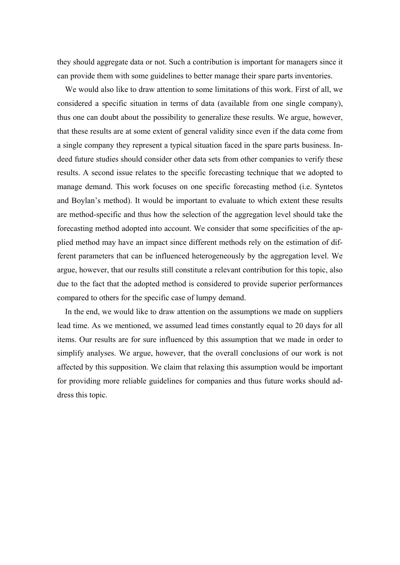they should aggregate data or not. Such a contribution is important for managers since it can provide them with some guidelines to better manage their spare parts inventories.

We would also like to draw attention to some limitations of this work. First of all, we considered a specific situation in terms of data (available from one single company), thus one can doubt about the possibility to generalize these results. We argue, however, that these results are at some extent of general validity since even if the data come from a single company they represent a typical situation faced in the spare parts business. Indeed future studies should consider other data sets from other companies to verify these results. A second issue relates to the specific forecasting technique that we adopted to manage demand. This work focuses on one specific forecasting method (i.e. Syntetos and Boylan's method). It would be important to evaluate to which extent these results are method-specific and thus how the selection of the aggregation level should take the forecasting method adopted into account. We consider that some specificities of the applied method may have an impact since different methods rely on the estimation of different parameters that can be influenced heterogeneously by the aggregation level. We argue, however, that our results still constitute a relevant contribution for this topic, also due to the fact that the adopted method is considered to provide superior performances compared to others for the specific case of lumpy demand.

In the end, we would like to draw attention on the assumptions we made on suppliers lead time. As we mentioned, we assumed lead times constantly equal to 20 days for all items. Our results are for sure influenced by this assumption that we made in order to simplify analyses. We argue, however, that the overall conclusions of our work is not affected by this supposition. We claim that relaxing this assumption would be important for providing more reliable guidelines for companies and thus future works should address this topic.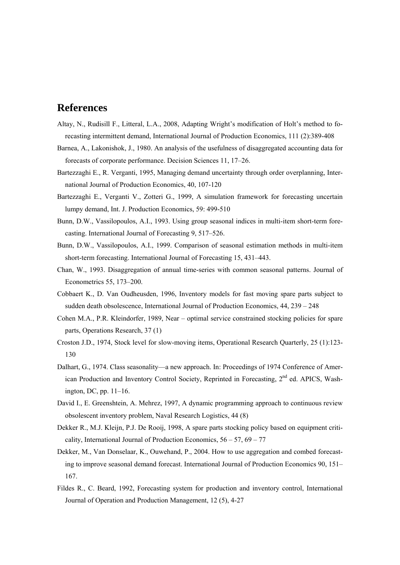## **References**

- Altay, N., Rudisill F., Litteral, L.A., 2008, Adapting Wright's modification of Holt's method to forecasting intermittent demand, International Journal of Production Economics, 111 (2):389-408
- Barnea, A., Lakonishok, J., 1980. An analysis of the usefulness of disaggregated accounting data for forecasts of corporate performance. Decision Sciences 11, 17–26.
- Bartezzaghi E., R. Verganti, 1995, Managing demand uncertainty through order overplanning, International Journal of Production Economics, 40, 107-120
- Bartezzaghi E., Verganti V., Zotteri G., 1999, A simulation framework for forecasting uncertain lumpy demand, Int. J. Production Economics, 59: 499-510
- Bunn, D.W., Vassilopoulos, A.I., 1993. Using group seasonal indices in multi-item short-term forecasting. International Journal of Forecasting 9, 517–526.
- Bunn, D.W., Vassilopoulos, A.I., 1999. Comparison of seasonal estimation methods in multi-item short-term forecasting. International Journal of Forecasting 15, 431–443.
- Chan, W., 1993. Disaggregation of annual time-series with common seasonal patterns. Journal of Econometrics 55, 173–200.
- Cobbaert K., D. Van Oudheusden, 1996, Inventory models for fast moving spare parts subject to sudden death obsolescence, International Journal of Production Economics, 44, 239 – 248
- Cohen M.A., P.R. Kleindorfer, 1989, Near optimal service constrained stocking policies for spare parts, Operations Research, 37 (1)
- Croston J.D., 1974, Stock level for slow-moving items, Operational Research Quarterly, 25 (1):123- 130
- Dalhart, G., 1974. Class seasonality—a new approach. In: Proceedings of 1974 Conference of American Production and Inventory Control Society, Reprinted in Forecasting, 2<sup>nd</sup> ed. APICS. Washington, DC, pp. 11–16.
- David I., E. Greenshtein, A. Mehrez, 1997, A dynamic programming approach to continuous review obsolescent inventory problem, Naval Research Logistics, 44 (8)
- Dekker R., M.J. Kleijn, P.J. De Rooij, 1998, A spare parts stocking policy based on equipment criticality, International Journal of Production Economics,  $56 - 57$ ,  $69 - 77$
- Dekker, M., Van Donselaar, K., Ouwehand, P., 2004. How to use aggregation and combed forecasting to improve seasonal demand forecast. International Journal of Production Economics 90, 151– 167.
- Fildes R., C. Beard, 1992, Forecasting system for production and inventory control, International Journal of Operation and Production Management, 12 (5), 4-27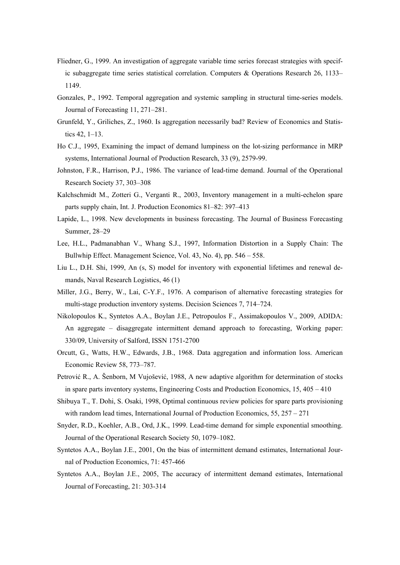- Fliedner, G., 1999. An investigation of aggregate variable time series forecast strategies with specific subaggregate time series statistical correlation. Computers  $\&$  Operations Research 26, 1133– 1149.
- Gonzales, P., 1992. Temporal aggregation and systemic sampling in structural time-series models. Journal of Forecasting 11, 271–281.
- Grunfeld, Y., Griliches, Z., 1960. Is aggregation necessarily bad? Review of Economics and Statistics 42, 1–13.
- Ho C.J., 1995, Examining the impact of demand lumpiness on the lot-sizing performance in MRP systems, International Journal of Production Research, 33 (9), 2579-99.
- Johnston, F.R., Harrison, P.J., 1986. The variance of lead-time demand. Journal of the Operational Research Society 37, 303–308
- Kalchschmidt M., Zotteri G., Verganti R., 2003, Inventory management in a multi-echelon spare parts supply chain, Int. J. Production Economics 81–82: 397–413
- Lapide, L., 1998. New developments in business forecasting. The Journal of Business Forecasting Summer, 28–29
- Lee, H.L., Padmanabhan V., Whang S.J., 1997, Information Distortion in a Supply Chain: The Bullwhip Effect. Management Science, Vol. 43, No. 4), pp. 546 – 558.
- Liu L., D.H. Shi, 1999, An (s, S) model for inventory with exponential lifetimes and renewal demands, Naval Research Logistics, 46 (1)
- Miller, J.G., Berry, W., Lai, C-Y.F., 1976. A comparison of alternative forecasting strategies for multi-stage production inventory systems. Decision Sciences 7, 714–724.
- Nikolopoulos K., Syntetos A.A., Boylan J.E., Petropoulos F., Assimakopoulos V., 2009, ADIDA: An aggregate – disaggregate intermittent demand approach to forecasting, Working paper: 330/09, University of Salford, ISSN 1751-2700
- Orcutt, G., Watts, H.W., Edwards, J.B., 1968. Data aggregation and information loss. American Economic Review 58, 773–787.
- Petrović R., A. Šenborn, M Vujošević, 1988, A new adaptive algorithm for determination of stocks in spare parts inventory systems, Engineering Costs and Production Economics, 15, 405 – 410
- Shibuya T., T. Dohi, S. Osaki, 1998, Optimal continuous review policies for spare parts provisioning with random lead times, International Journal of Production Economics, 55, 257 – 271
- Snyder, R.D., Koehler, A.B., Ord, J.K., 1999. Lead-time demand for simple exponential smoothing. Journal of the Operational Research Society 50, 1079–1082.
- Syntetos A.A., Boylan J.E., 2001, On the bias of intermittent demand estimates, International Journal of Production Economics, 71: 457-466
- Syntetos A.A., Boylan J.E., 2005, The accuracy of intermittent demand estimates, International Journal of Forecasting, 21: 303-314